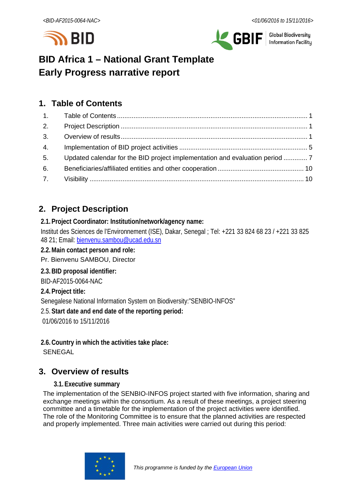



**Global Biodiversity** Information Facility

# **BID Africa 1 – National Grant Template Early Progress narrative report**

## <span id="page-0-0"></span>**1. Table of Contents**

| 2. |                                                                              |  |
|----|------------------------------------------------------------------------------|--|
|    |                                                                              |  |
| 4. |                                                                              |  |
| 5. | Updated calendar for the BID project implementation and evaluation period  7 |  |
| 6. |                                                                              |  |
|    |                                                                              |  |

# <span id="page-0-1"></span>**2. Project Description**

#### **2.1.Project Coordinator: Institution/network/agency name:**

Institut des Sciences de l'Environnement (ISE), Dakar, Senegal ; Tel: +221 33 824 68 23 / +221 33 825 48 21; Email: [bienvenu.sambou@ucad.edu.sn](mailto:bienvenu.sambou@ucad.edu.sn)

- **2.2.Main contact person and role:**
- Pr. Bienvenu SAMBOU, Director

## **2.3.BID proposal identifier:**

BID-AF2015-0064-NAC

#### **2.4.Project title:**

Senegalese National Information System on Biodiversity:"SENBIO-INFOS"

2.5.**Start date and end date of the reporting period:**

01/06/2016 to 15/11/2016

**2.6.Country in which the activities take place:** SENEGAL

# <span id="page-0-2"></span>**3. Overview of results**

#### **3.1.Executive summary**

The implementation of the SENBIO-INFOS project started with five information, sharing and exchange meetings within the consortium. As a result of these meetings, a project steering committee and a timetable for the implementation of the project activities were identified. The role of the Monitoring Committee is to ensure that the planned activities are respected and properly implemented. Three main activities were carried out during this period:

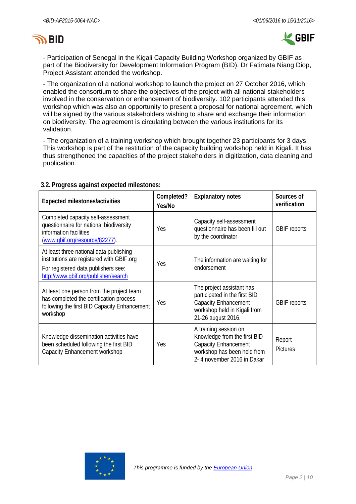



- Participation of Senegal in the Kigali Capacity Building Workshop organized by GBIF as part of the Biodiversity for Development Information Program (BID). Dr Fatimata Niang Diop, Project Assistant attended the workshop.

- The organization of a national workshop to launch the project on 27 October 2016, which enabled the consortium to share the objectives of the project with all national stakeholders involved in the conservation or enhancement of biodiversity. 102 participants attended this workshop which was also an opportunity to present a proposal for national agreement, which will be signed by the various stakeholders wishing to share and exchange their information on biodiversity. The agreement is circulating between the various institutions for its validation.

- The organization of a training workshop which brought together 23 participants for 3 days. This workshop is part of the restitution of the capacity building workshop held in Kigali. It has thus strengthened the capacities of the project stakeholders in digitization, data cleaning and publication.

| <b>Expected milestones/activities</b>                                                                                                                               | Completed?<br>Yes/No | <b>Explanatory notes</b>                                                                                                                          | Sources of<br>verification |
|---------------------------------------------------------------------------------------------------------------------------------------------------------------------|----------------------|---------------------------------------------------------------------------------------------------------------------------------------------------|----------------------------|
| Completed capacity self-assessment<br>questionnaire for national biodiversity<br>information facilities<br>(www.qbif.org/resource/82277).                           | Yes                  | Capacity self-assessment<br>questionnaire has been fill out<br>by the coordinator                                                                 | <b>GBIF</b> reports        |
| At least three national data publishing<br>institutions are registered with GBIF org<br>For registered data publishers see:<br>http://www.qbif.org/publisher/search | Yes                  | The information are waiting for<br>endorsement                                                                                                    |                            |
| At least one person from the project team<br>has completed the certification process<br>following the first BID Capacity Enhancement<br>workshop                    | Yes                  | The project assistant has<br>participated in the first BID<br><b>Capacity Enhancement</b><br>workshop held in Kigali from<br>21-26 august 2016.   | <b>GBIF</b> reports        |
| Knowledge dissemination activities have<br>been scheduled following the first BID<br>Capacity Enhancement workshop                                                  | Yes                  | A training session on<br>Knowledge from the first BID<br><b>Capacity Enhancement</b><br>workshop has been held from<br>2-4 november 2016 in Dakar | Report<br><b>Pictures</b>  |

#### **3.2.Progress against expected milestones:**

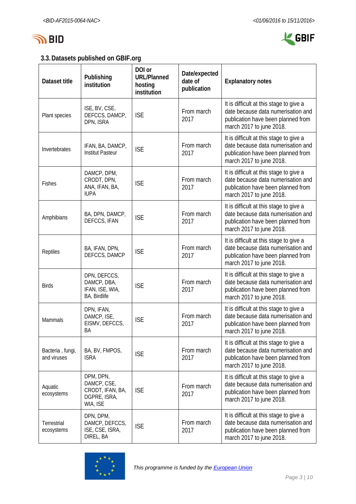



## **3.3.Datasets published on GBIF.org**

| Dataset title                   | Publishing<br>institution                                                | DOI or<br><b>URL/Planned</b><br>hosting<br>institution | Date/expected<br>date of<br>publication | <b>Explanatory notes</b>                                                                                                                        |  |  |  |  |  |  |  |  |
|---------------------------------|--------------------------------------------------------------------------|--------------------------------------------------------|-----------------------------------------|-------------------------------------------------------------------------------------------------------------------------------------------------|--|--|--|--|--|--|--|--|
| Plant species                   | ISE, BV, CSE,<br>DEFCCS, DAMCP,<br>DPN, ISRA                             | <b>ISE</b>                                             | From march<br>2017                      | It is difficult at this stage to give a<br>date because data numerisation and<br>publication have been planned from<br>march 2017 to june 2018. |  |  |  |  |  |  |  |  |
| Invertebrates                   | IFAN, BA, DAMCP,<br><b>Institut Pasteur</b>                              | <b>ISE</b>                                             | From march<br>2017                      | It is difficult at this stage to give a<br>date because data numerisation and<br>publication have been planned from<br>march 2017 to june 2018. |  |  |  |  |  |  |  |  |
| Fishes                          | DAMCP, DPM,<br>CRODT, DPN,<br>ANA, IFAN, BA,<br><b>IUPA</b>              | <b>ISE</b>                                             | From march<br>2017                      | It is difficult at this stage to give a<br>date because data numerisation and<br>publication have been planned from<br>march 2017 to june 2018. |  |  |  |  |  |  |  |  |
| Amphibians                      | BA, DPN, DAMCP,<br>DEFCCS, IFAN                                          | <b>ISE</b>                                             | From march<br>2017                      | It is difficult at this stage to give a<br>date because data numerisation and<br>publication have been planned from<br>march 2017 to june 2018. |  |  |  |  |  |  |  |  |
| Reptiles                        | BA, IFAN, DPN,<br>DEFCCS, DAMCP                                          | <b>ISE</b>                                             | From march<br>2017                      | It is difficult at this stage to give a<br>date because data numerisation and<br>publication have been planned from<br>march 2017 to june 2018. |  |  |  |  |  |  |  |  |
| <b>Birds</b>                    | DPN, DEFCCS,<br>DAMCP, DBA,<br>IFAN, ISE, WIA,<br>BA, Birdlife           | <b>ISE</b>                                             | From march<br>2017                      | It is difficult at this stage to give a<br>date because data numerisation and<br>publication have been planned from<br>march 2017 to june 2018. |  |  |  |  |  |  |  |  |
| Mammals                         | DPN, IFAN,<br>DAMCP, ISE,<br>EISMV, DEFCCS,<br>ΒA                        | <b>ISE</b>                                             | From march<br>2017                      | It is difficult at this stage to give a<br>date because data numerisation and<br>publication have been planned from<br>march 2017 to june 2018. |  |  |  |  |  |  |  |  |
| Bacteria, fungi,<br>and viruses | BA, BV, FMPOS,<br><b>ISRA</b>                                            | <b>ISE</b>                                             | From march<br>2017                      | It is difficult at this stage to give a<br>date because data numerisation and<br>publication have been planned from<br>march 2017 to june 2018. |  |  |  |  |  |  |  |  |
| Aquatic<br>ecosystems           | DPM, DPN,<br>DAMCP, CSE,<br>CRODT, IFAN, BA,<br>DGPRE, ISRA,<br>WIA, ISE | <b>ISE</b>                                             | From march<br>2017                      | It is difficult at this stage to give a<br>date because data numerisation and<br>publication have been planned from<br>march 2017 to june 2018. |  |  |  |  |  |  |  |  |
| Terrestrial<br>ecosystems       | DPN, DPM,<br>DAMCP, DEFCCS,<br>ISE, CSE, ISRA,<br>DIREL, BA              | <b>ISE</b>                                             | From march<br>2017                      | It is difficult at this stage to give a<br>date because data numerisation and<br>publication have been planned from<br>march 2017 to june 2018. |  |  |  |  |  |  |  |  |

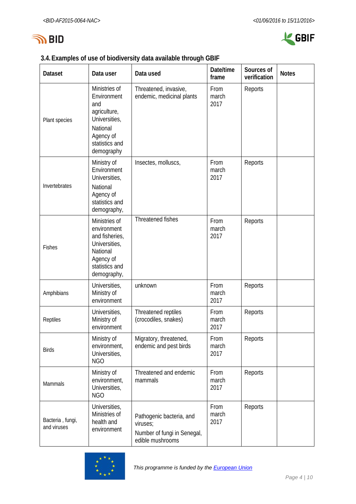



### **3.4.Examples of use of biodiversity data available through GBIF**

| <b>Dataset</b>                  | Data user                                                                                                                     | Data used                                                                               | Date/time<br>frame    | Sources of<br>verification | <b>Notes</b> |
|---------------------------------|-------------------------------------------------------------------------------------------------------------------------------|-----------------------------------------------------------------------------------------|-----------------------|----------------------------|--------------|
| Plant species                   | Ministries of<br>Environment<br>and<br>agriculture,<br>Universities,<br>National<br>Agency of<br>statistics and<br>demography | Threatened, invasive,<br>endemic, medicinal plants                                      | From<br>march<br>2017 | Reports                    |              |
| Invertebrates                   | Ministry of<br>Environment<br>Universities,<br>National<br>Agency of<br>statistics and<br>demography,                         | Insectes, molluscs,                                                                     | From<br>march<br>2017 | Reports                    |              |
| Fishes                          | Ministries of<br>environment<br>and fisheries,<br>Universities,<br>National<br>Agency of<br>statistics and<br>demography,     | Threatened fishes                                                                       | From<br>march<br>2017 | Reports                    |              |
| Amphibians                      | Universities,<br>Ministry of<br>environment                                                                                   | unknown                                                                                 | From<br>march<br>2017 | Reports                    |              |
| Reptiles                        | Universities,<br>Ministry of<br>environment                                                                                   | Threatened reptiles<br>(crocodiles, snakes)                                             | From<br>march<br>2017 | Reports                    |              |
| <b>Birds</b>                    | Ministry of<br>environment,<br>Universities,<br><b>NGO</b>                                                                    | Migratory, threatened,<br>endemic and pest birds                                        | From<br>march<br>2017 | Reports                    |              |
| Mammals                         | Ministry of<br>environment,<br>Universities,<br><b>NGO</b>                                                                    | Threatened and endemic<br>mammals                                                       | From<br>march<br>2017 | Reports                    |              |
| Bacteria, fungi,<br>and viruses | Universities,<br>Ministries of<br>health and<br>environment                                                                   | Pathogenic bacteria, and<br>viruses;<br>Number of fungi in Senegal,<br>edible mushrooms | From<br>march<br>2017 | Reports                    |              |

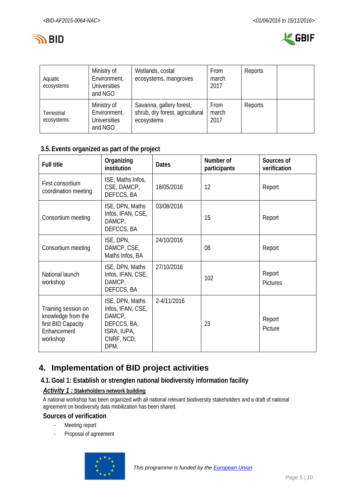



| Aquatic<br>ecosystems     | Ministry of<br>Environment,<br><b>Universities</b><br>and NGO | Wetlands, costal<br>ecosystems, mangroves                                 | <b>From</b><br>march<br>2017 | Reports |  |
|---------------------------|---------------------------------------------------------------|---------------------------------------------------------------------------|------------------------------|---------|--|
| Terrestrial<br>ecosystems | Ministry of<br>Environment,<br><b>Universities</b><br>and NGO | Savanna, gallery forest,<br>shrub, dry forest, agricultural<br>ecosystems | From<br>march<br>2017        | Reports |  |

## **3.5.Events organized as part of the project**

| <b>Full title</b>                                                                          | Organizing<br>institution                                                                          | <b>Dates</b> | Number of<br>participants | Sources of<br>verification |
|--------------------------------------------------------------------------------------------|----------------------------------------------------------------------------------------------------|--------------|---------------------------|----------------------------|
| First consortium<br>coordination meeting                                                   | ISE, Maths Infos,<br>CSE, DAMCP,<br>DEFCCS, BA                                                     | 18/05/2016   | 12                        | Report                     |
| Consortium meeting                                                                         | ISE, DPN, Maths<br>Infos, IFAN, CSE,<br>DAMCP,<br>DEFCCS, BA                                       | 03/08/2016   | 15                        | Report                     |
| Consortium meeting                                                                         | ISE, DPN,<br>DAMCP, CSE,<br>Maths Infos, BA                                                        | 24/10/2016   | 08                        | Report                     |
| National launch<br>workshop                                                                | ISE, DPN, Maths<br>Infos, IFAN, CSE,<br>DAMCP,<br>DEFCCS, BA                                       | 27/10/2016   | 102                       | Report<br><b>Pictures</b>  |
| Training session on<br>knowledge from the<br>first BID Capacity<br>Enhancement<br>workshop | ISE, DPN, Maths<br>Infos, IFAN, CSE,<br>DAMCP,<br>DEFCCS, BA,<br>ISRA, IUPA,<br>CNRF, NCD,<br>DPM, | 2-4/11/2016  | 23                        | Report<br>Picture          |

# <span id="page-4-0"></span>**4. Implementation of BID project activities**

#### **4.1.Goal 1: Establish or strengten national biodiversity information facility**

#### *Activity 1 :* **Stakeholders network building**

A national workshop has been organized with all national relevant biodiversity stakeholders and a draft of national agreement on biodiversity data mobilization has been shared.

#### **Sources of verification**

- Meeting report
- Proposal of agreement

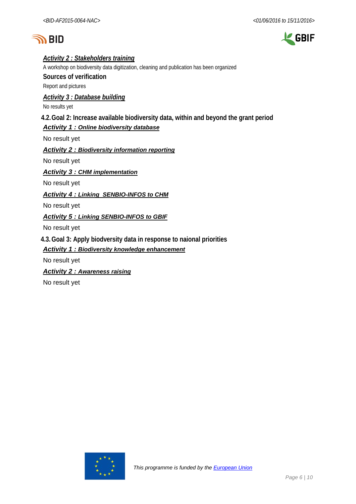



#### *Activity 2 : Stakeholders training*

A workshop on biodiversity data digitization, cleaning and publication has been organized **Sources of verification** Report and pictures

*Activity 3 : Database building*

No results yet

#### **4.2.Goal 2: Increase available biodiversity data, within and beyond the grant period**

#### *Activity 1 : Online biodiversity database*

No result yet

*Activity 2 : Biodiversity information reporting*

No result yet

*Activity 3 : CHM implementation*

No result yet

*Activity 4 : Linking SENBIO-INFOS to CHM*

No result yet

#### *Activity 5 : Linking SENBIO-INFOS to GBIF*

No result yet

**4.3.Goal 3: Apply biodversity data in response to naional priorities**

#### *Activity 1 : Biodiversity knowledge enhancement*

No result yet

*Activity 2 : Awareness raising*

No result yet

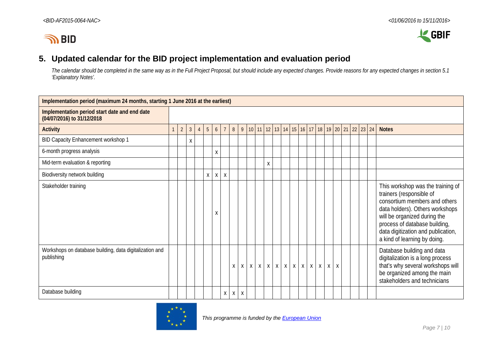



## **5. Updated calendar for the BID project implementation and evaluation period**

*The calendar should be completed in the same way as in the Full Project Proposal, but should include any expected changes. Provide reasons for any expected changes in section 5.1 'Explanatory Notes'.*

<span id="page-6-0"></span>

| Implementation period (maximum 24 months, starting 1 June 2016 at the earliest) |              |                |                |                |                 |   |                |   |              |              |              |   |  |                 |  |              |                                                                              |                    |                    |  |  |                                                                                                                                                                                                                                                                          |
|---------------------------------------------------------------------------------|--------------|----------------|----------------|----------------|-----------------|---|----------------|---|--------------|--------------|--------------|---|--|-----------------|--|--------------|------------------------------------------------------------------------------|--------------------|--------------------|--|--|--------------------------------------------------------------------------------------------------------------------------------------------------------------------------------------------------------------------------------------------------------------------------|
| Implementation period start date and end date<br>(04/07/2016) to 31/12/2018     |              |                |                |                |                 |   |                |   |              |              |              |   |  |                 |  |              |                                                                              |                    |                    |  |  |                                                                                                                                                                                                                                                                          |
| <b>Activity</b>                                                                 | $\mathbf{1}$ | $\overline{2}$ | $\mathfrak{Z}$ | $\overline{4}$ | $5\overline{)}$ | 6 | $\overline{7}$ | 8 |              |              |              |   |  |                 |  |              | 9   10   11   12   13   14   15   16   17   18   19   20   21   22   23   24 |                    |                    |  |  | <b>Notes</b>                                                                                                                                                                                                                                                             |
| BID Capacity Enhancement workshop 1                                             |              |                | X              |                |                 |   |                |   |              |              |              |   |  |                 |  |              |                                                                              |                    |                    |  |  |                                                                                                                                                                                                                                                                          |
| 6-month progress analysis                                                       |              |                |                |                |                 | X |                |   |              |              |              |   |  |                 |  |              |                                                                              |                    |                    |  |  |                                                                                                                                                                                                                                                                          |
| Mid-term evaluation & reporting                                                 |              |                |                |                |                 |   |                |   |              |              |              | X |  |                 |  |              |                                                                              |                    |                    |  |  |                                                                                                                                                                                                                                                                          |
| Biodiversity network building                                                   |              |                |                |                | X               | X | X              |   |              |              |              |   |  |                 |  |              |                                                                              |                    |                    |  |  |                                                                                                                                                                                                                                                                          |
| Stakeholder training                                                            |              |                |                |                |                 | Χ |                |   |              |              |              |   |  |                 |  |              |                                                                              |                    |                    |  |  | This workshop was the training of<br>trainers (responsible of<br>consortium members and others<br>data holders). Others workshops<br>will be organized during the<br>process of database building,<br>data digitization and publication,<br>a kind of learning by doing. |
| Workshops on database building, data digitalization and<br>publishing           |              |                |                |                |                 |   |                | X | $\mathsf{X}$ | $\mathsf{X}$ | $\mathsf{X}$ |   |  | $X$ $X$ $X$ $X$ |  | $\mathsf{X}$ | $X$ $X$                                                                      | $\pmb{\mathsf{X}}$ | $\pmb{\mathsf{X}}$ |  |  | Database building and data<br>digitalization is a long process<br>that's why several workshops will<br>be organized among the main<br>stakeholders and technicians                                                                                                       |
| Database building                                                               |              |                |                |                |                 |   | Χ              | X | X            |              |              |   |  |                 |  |              |                                                                              |                    |                    |  |  |                                                                                                                                                                                                                                                                          |

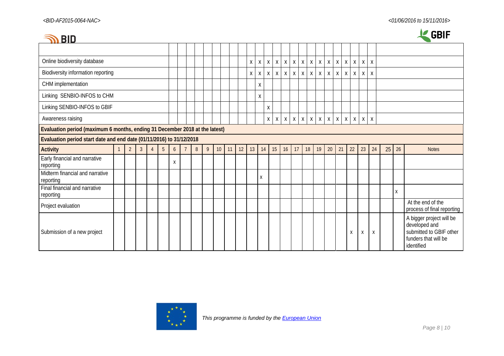| BID                                                                         |              |                |                |                |                 |   |                |                |   |                 |    |    |    |              |              |              |              |              |              |                   |              |                           |                    |                    |         |              |    |    | <b>GBIF</b>                                                                                                |
|-----------------------------------------------------------------------------|--------------|----------------|----------------|----------------|-----------------|---|----------------|----------------|---|-----------------|----|----|----|--------------|--------------|--------------|--------------|--------------|--------------|-------------------|--------------|---------------------------|--------------------|--------------------|---------|--------------|----|----|------------------------------------------------------------------------------------------------------------|
|                                                                             |              |                |                |                |                 |   |                |                |   |                 |    |    |    |              |              |              |              |              |              |                   |              |                           |                    |                    |         |              |    |    |                                                                                                            |
| Online biodiversity database                                                |              |                |                |                |                 |   |                |                |   |                 |    |    | Χ  | $\mathsf X$  | $\mathsf{X}$ | $\mathsf X$  | $\mathsf X$  | $\mathsf X$  | $\,$ X       | $\mathsf{X}$<br>X | $\mathsf{X}$ | $\boldsymbol{\mathsf{X}}$ | $\pmb{\mathsf{X}}$ | $\pmb{\mathsf{X}}$ | X       | $\mathsf{X}$ |    |    |                                                                                                            |
| Biodiversity information reporting                                          |              |                |                |                |                 |   |                |                |   |                 |    |    | X  | $\mathsf{X}$ | $\mathsf{X}$ | $\mathsf{X}$ | $\mathsf{X}$ | $\mathsf{X}$ | $\mathsf{X}$ | $\mathsf{X}$<br>Χ | $\mathsf{X}$ | X                         | X                  | X                  | Χ       | X            |    |    |                                                                                                            |
| CHM implementation                                                          |              |                |                |                |                 |   |                |                |   |                 |    |    |    | Χ            |              |              |              |              |              |                   |              |                           |                    |                    |         |              |    |    |                                                                                                            |
| Linking SENBIO-INFOS to CHM                                                 |              |                |                |                |                 |   |                |                |   |                 |    |    |    | Χ            |              |              |              |              |              |                   |              |                           |                    |                    |         |              |    |    |                                                                                                            |
| Linking SENBIO-INFOS to GBIF                                                |              |                |                |                |                 |   |                |                |   |                 |    |    |    |              | X            |              |              |              |              |                   |              |                           |                    |                    |         |              |    |    |                                                                                                            |
| Awareness raising                                                           |              |                |                |                |                 |   |                |                |   |                 |    |    |    |              | X            | $\mathsf{X}$ | $\mathsf{X}$ | $\mathsf{X}$ | $\mathsf{X}$ | $X$ $X$           |              | $X$ $X$                   |                    | $X$ $X$            | $X$ $X$ |              |    |    |                                                                                                            |
| Evaluation period (maximum 6 months, ending 31 December 2018 at the latest) |              |                |                |                |                 |   |                |                |   |                 |    |    |    |              |              |              |              |              |              |                   |              |                           |                    |                    |         |              |    |    |                                                                                                            |
| Evaluation period start date and end date (01/11/2016) to 31/12/2018        |              |                |                |                |                 |   |                |                |   |                 |    |    |    |              |              |              |              |              |              |                   |              |                           |                    |                    |         |              |    |    |                                                                                                            |
| <b>Activity</b>                                                             | $\mathbf{1}$ | $\overline{2}$ | 3 <sup>2</sup> | $\overline{4}$ | $5\phantom{.0}$ | 6 | $\overline{7}$ | $8\phantom{1}$ | 9 | 10 <sup>°</sup> | 11 | 12 | 13 | 14           | 15           |              | 16           | 17           | 18           | 19                | $20\,$       | 21                        |                    | 22                 | 23      | 24           | 25 | 26 | <b>Notes</b>                                                                                               |
| Early financial and narrative<br>reporting                                  |              |                |                |                |                 | X |                |                |   |                 |    |    |    |              |              |              |              |              |              |                   |              |                           |                    |                    |         |              |    |    |                                                                                                            |
| Midterm financial and narrative<br>reporting                                |              |                |                |                |                 |   |                |                |   |                 |    |    |    | Χ            |              |              |              |              |              |                   |              |                           |                    |                    |         |              |    |    |                                                                                                            |
| Final financial and narrative<br>reporting                                  |              |                |                |                |                 |   |                |                |   |                 |    |    |    |              |              |              |              |              |              |                   |              |                           |                    |                    |         |              |    | X  |                                                                                                            |
| Project evaluation                                                          |              |                |                |                |                 |   |                |                |   |                 |    |    |    |              |              |              |              |              |              |                   |              |                           |                    |                    |         |              |    |    | At the end of the<br>process of final reporting                                                            |
| Submission of a new project                                                 |              |                |                |                |                 |   |                |                |   |                 |    |    |    |              |              |              |              |              |              |                   |              |                           |                    | X                  | X       | Χ            |    |    | A bigger project will be<br>developed and<br>submitted to GBIF other<br>funders that will be<br>identified |

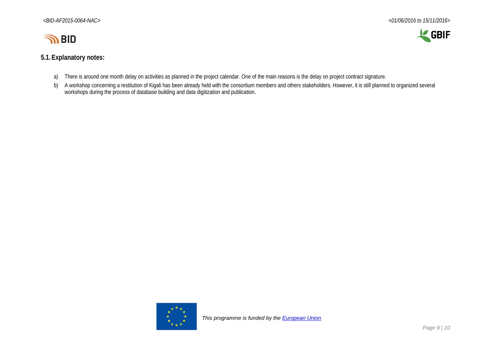

# LE GBIF

#### **5.1.Explanatory notes:**

- a) There is around one month delay on activities as planned in the project calendar. One of the main reasons is the delay on project contract signature.
- b) A workshop concerning a restitution of Kigali has been already held with the consortium members and others stakeholders. However, it is still planned to organized several workshops during the process of database building and data digitization and publication.